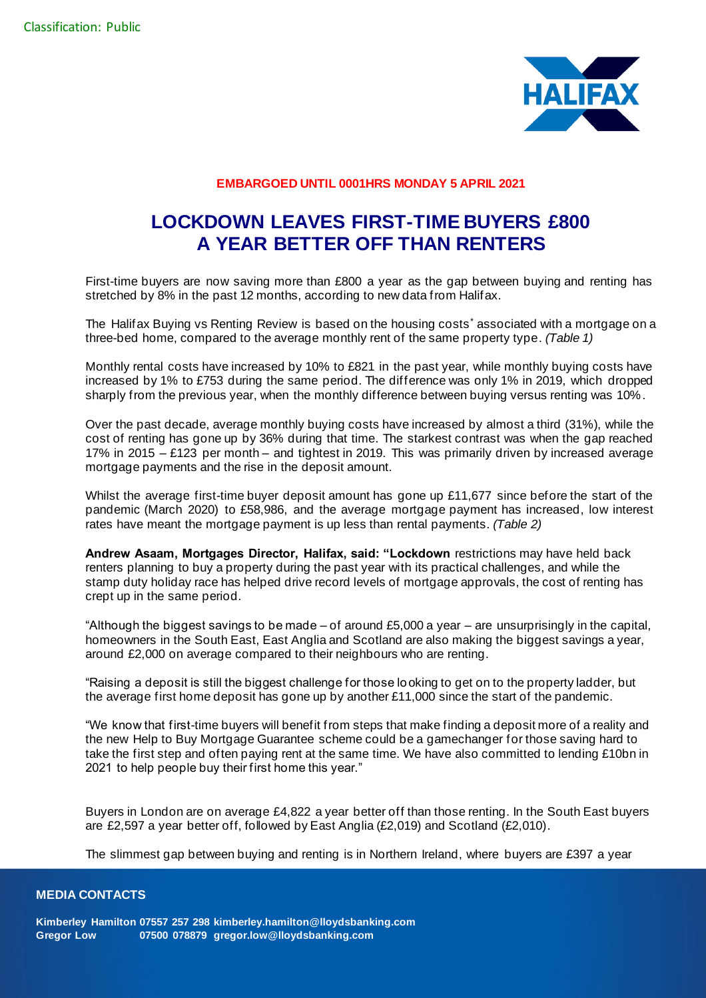

# **EMBARGOED UNTIL 0001HRS MONDAY 5 APRIL 2021**

# **LOCKDOWN LEAVES FIRST-TIME BUYERS £800 A YEAR BETTER OFF THAN RENTERS**

First-time buyers are now saving more than £800 a year as the gap between buying and renting has stretched by 8% in the past 12 months, according to new data from Halifax.

The Halifax Buying vs Renting Review is based on the housing costs<sup>\*</sup> associated with a mortgage on a three-bed home, compared to the average monthly rent of the same property type. *(Table 1)*

Monthly rental costs have increased by 10% to £821 in the past year, while monthly buying costs have increased by 1% to £753 during the same period. The difference was only 1% in 2019, which dropped sharply from the previous year, when the monthly difference between buying versus renting was 10%.

Over the past decade, average monthly buying costs have increased by almost a third (31%), while the cost of renting has gone up by 36% during that time. The starkest contrast was when the gap reached 17% in 2015 – £123 per month – and tightest in 2019. This was primarily driven by increased average mortgage payments and the rise in the deposit amount.

Whilst the average first-time buyer deposit amount has gone up £11,677 since before the start of the pandemic (March 2020) to £58,986, and the average mortgage payment has increased, low interest rates have meant the mortgage payment is up less than rental payments. *(Table 2)*

**Andrew Asaam, Mortgages Director, Halifax, said: "Lockdown** restrictions may have held back renters planning to buy a property during the past year with its practical challenges, and while the stamp duty holiday race has helped drive record levels of mortgage approvals, the cost of renting has crept up in the same period.

"Although the biggest savings to be made – of around £5,000 a year – are unsurprisingly in the capital, homeowners in the South East, East Anglia and Scotland are also making the biggest savings a year, around £2,000 on average compared to their neighbours who are renting.

"Raising a deposit is still the biggest challenge for those looking to get on to the property ladder, but the average first home deposit has gone up by another £11,000 since the start of the pandemic.

"We know that first-time buyers will benefit from steps that make finding a deposit more of a reality and the new Help to Buy Mortgage Guarantee scheme could be a gamechanger for those saving hard to take the first step and often paying rent at the same time. We have also committed to lending £10bn in 2021 to help people buy their first home this year."

Buyers in London are on average £4,822 a year better off than those renting. In the South East buyers are £2,597 a year better off, followed by East Anglia (£2,019) and Scotland (£2,010).

The slimmest gap between buying and renting is in Northern Ireland, where buyers are £397 a year

## **MEDIA CONTACTS**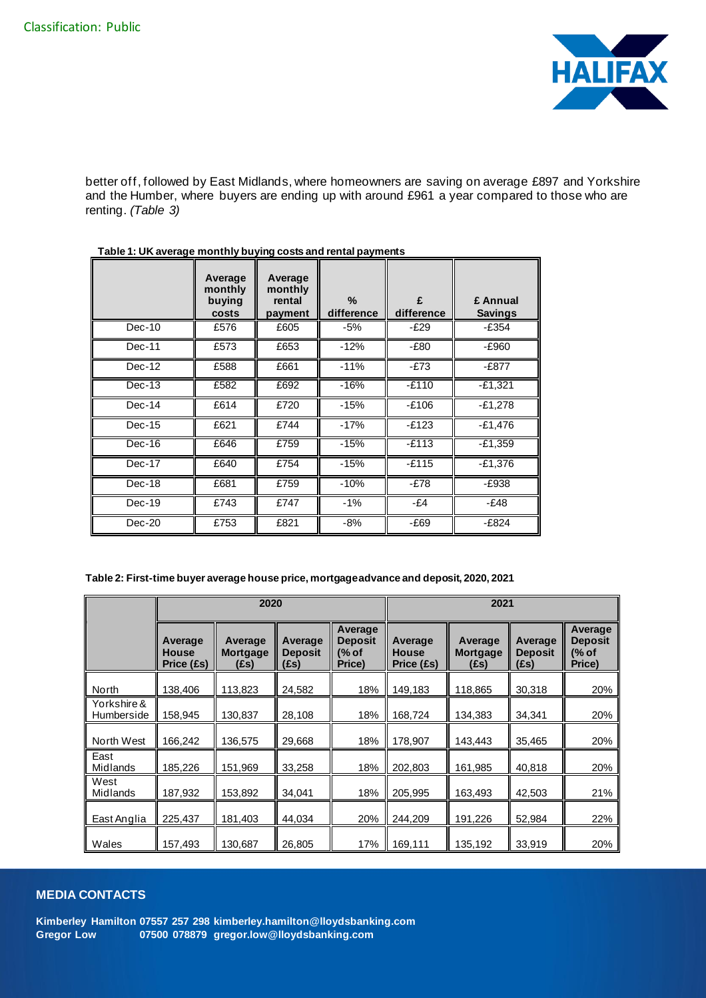

better off, followed by East Midlands, where homeowners are saving on average £897 and Yorkshire and the Humber, where buyers are ending up with around £961 a year compared to those who are renting. *(Table 3)*

|          | Average<br>monthly<br>buying<br>costs | Average<br>monthly<br>rental<br>payment | $\%$<br>difference | £<br>difference | £ Annual<br><b>Savings</b> |
|----------|---------------------------------------|-----------------------------------------|--------------------|-----------------|----------------------------|
| $Dec-10$ | £576                                  | £605                                    | $-5%$              | $-E29$          | $-E354$                    |
| $Dec-11$ | £573                                  | £653                                    | $-12%$             | $-E80$          | -£960                      |
| $Dec-12$ | £588                                  | £661                                    | $-11%$             | $-E73$          | $-£877$                    |
| $Dec-13$ | £582                                  | £692                                    | $-16%$             | $-E110$         | $-£1,321$                  |
| $Dec-14$ | £614                                  | £720                                    | $-15%$             | $-E106$         | $-E1,278$                  |
| $Dec-15$ | £621                                  | £744                                    | $-17%$             | $-E123$         | $-£1,476$                  |
| Dec-16   | £646                                  | £759                                    | $-15%$             | $-E113$         | $-E1,359$                  |
| $Dec-17$ | £640                                  | £754                                    | $-15%$             | $-E115$         | $-£1,376$                  |
| Dec-18   | £681                                  | £759                                    | $-10%$             | $-E78$          | -£938                      |
| Dec-19   | £743                                  | £747                                    | $-1%$              | $-E4$           | $-E48$                     |
| $Dec-20$ | £753                                  | £821                                    | $-8%$              | $-E69$          | $-£824$                    |

**Table 1: UK average monthly buying costs and rental payments**

| Table 2: First-time buyer average house price, mortgage advance and deposit, 2020, 2021 |  |
|-----------------------------------------------------------------------------------------|--|
|-----------------------------------------------------------------------------------------|--|

|                           | 2020                                  |                                    |                                   |                                       | 2021                                  |                                    |                                   |                                       |  |
|---------------------------|---------------------------------------|------------------------------------|-----------------------------------|---------------------------------------|---------------------------------------|------------------------------------|-----------------------------------|---------------------------------------|--|
|                           | Average<br><b>House</b><br>Price (£s) | Average<br><b>Mortgage</b><br>(£s) | Average<br><b>Deposit</b><br>(Es) | Average<br>Deposit<br>(% of<br>Price) | Average<br><b>House</b><br>Price (£s) | Average<br><b>Mortgage</b><br>(£s) | Average<br><b>Deposit</b><br>(Es) | Average<br>Deposit<br>(% of<br>Price) |  |
| North                     | 138,406                               | 113,823                            | 24,582                            | 18%                                   | 149,183                               | 118,865                            | 30,318                            | 20%                                   |  |
| Yorkshire &<br>Humberside | 158,945                               | 130,837                            | 28,108                            | 18%                                   | 168,724                               | 134,383                            | 34,341                            | 20%                                   |  |
| North West                | 166,242                               | 136,575                            | 29,668                            | 18%                                   | 178,907                               | 143,443                            | 35,465                            | 20%                                   |  |
| East<br>Midlands          | 185,226                               | 151,969                            | 33,258                            | 18%                                   | 202,803                               | 161,985                            | 40,818                            | 20%                                   |  |
| West<br>Midlands          | 187,932                               | 153,892                            | 34,041                            | 18%                                   | 205,995                               | 163,493                            | 42,503                            | 21%                                   |  |
| East Anglia               | 225,437                               | 181,403                            | 44,034                            | 20%                                   | 244,209                               | 191,226                            | 52,984                            | 22%                                   |  |
| Wales                     | 157,493                               | 130,687                            | 26,805                            | 17%                                   | 169,111                               | 135,192                            | 33,919                            | 20%                                   |  |

# **MEDIA CONTACTS**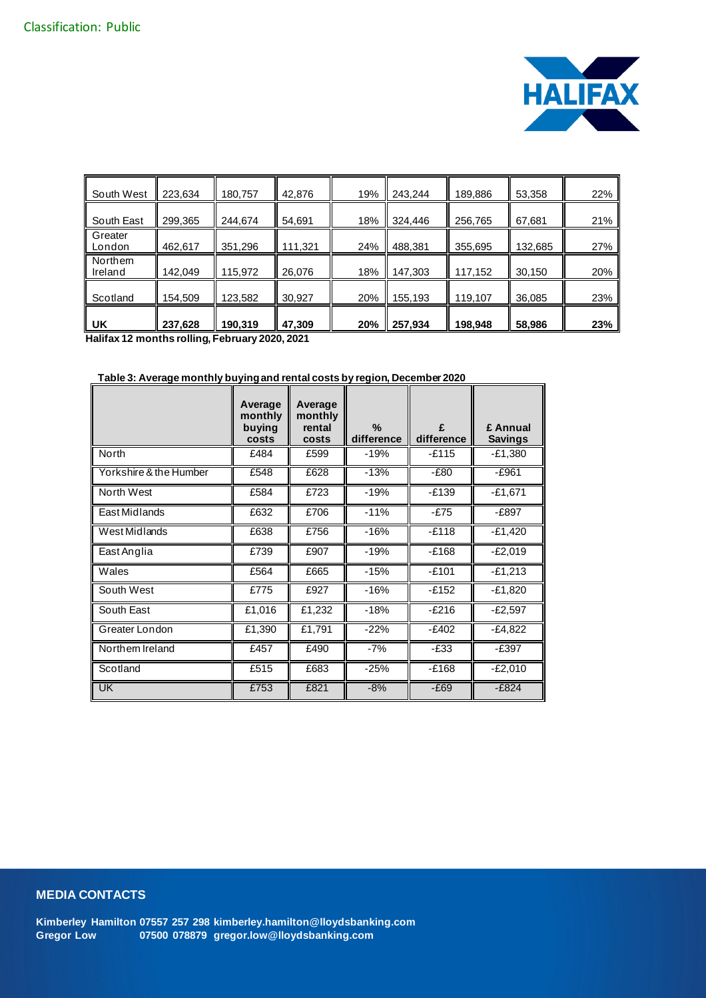

| South West                | 223,634 | 180,757 | 42,876  | 19% | 243,244 | 189,886 | 53,358  | 22% |
|---------------------------|---------|---------|---------|-----|---------|---------|---------|-----|
| South East                | 299,365 | 244,674 | 54,691  | 18% | 324,446 | 256,765 | 67,681  | 21% |
| Greater<br>London         | 462,617 | 351,296 | 111,321 | 24% | 488,381 | 355,695 | 132,685 | 27% |
| <b>Northem</b><br>Ireland | 142,049 | 115,972 | 26,076  | 18% | 147,303 | 117,152 | 30,150  | 20% |
| Scotland                  | 154,509 | 123,582 | 30,927  | 20% | 155,193 | 119,107 | 36,085  | 23% |
| UK                        | 237,628 | 190,319 | 47,309  | 20% | 257,934 | 198,948 | 58,986  | 23% |

**Halifax 12 months rolling, February 2020, 2021**

## **Table 3: Average monthly buying and rental costs by region, December 2020**

|                        | Average<br>monthly<br>buying | Average<br>monthly<br>rental | $\%$       | £          | £ Annual       |
|------------------------|------------------------------|------------------------------|------------|------------|----------------|
|                        | costs                        | costs                        | difference | difference | <b>Savings</b> |
| North                  | £484                         | £599                         | $-19%$     | $-E115$    | $-E1,380$      |
| Yorkshire & the Humber | £548                         | £628                         | $-13%$     | $-E80$     | $-E961$        |
| North West             | £584                         | £723                         | $-19%$     | $-E139$    | $-£1,671$      |
| East Midlands          | £632                         | £706                         | $-11%$     | $-E75$     | $-E897$        |
| West Midlands          | £638                         | £756                         | $-16%$     | $-E118$    | $-E1,420$      |
| East Anglia            | £739                         | £907                         | $-19%$     | $-E168$    | $-E2,019$      |
| Wales                  | £564                         | £665                         | $-15%$     | $-E101$    | $-E1,213$      |
| South West             | £775                         | £927                         | $-16%$     | -£152      | $-E1,820$      |
| South East             | £1,016                       | £1,232                       | $-18%$     | $-E216$    | $-E2,597$      |
| Greater London         | £1,390                       | £1,791                       | $-22%$     | $-E402$    | $-E4,822$      |
| Northem Ireland        | £457                         | £490                         | $-7%$      | $-E33$     | $-E397$        |
| Scotland               | £515                         | £683                         | $-25%$     | $-E168$    | $-E2,010$      |
| <b>UK</b>              | £753                         | £821                         | $-8%$      | $-E69$     | $-£824$        |

# **MEDIA CONTACTS**